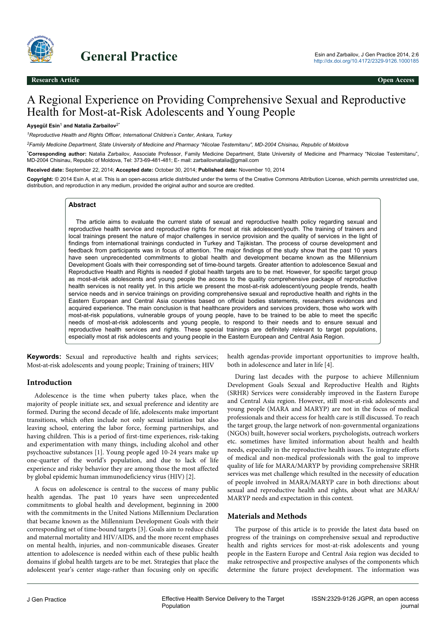

# General Practice 2014, 2:6

# A Regional Experience on Providing Comprehensive Sexual and Reproductive Health for Most-at-Risk Adolescents and Young People

#### **Ayşegül Esin**<sup>1</sup>  **and Natalia Zarbailov**2\*

*<sup>1</sup>Reproductive Health and Rights Officer, International Children's Center, Ankara, Turkey*

*<sup>2</sup>Family Medicine Department, State University of Medicine and Pharmacy "Nicolae Testemitanu", MD-2004 Chisinau, Republic of Moldova*

\***Corresponding author:** Natalia Zarbailov, Associate Professor, Family Medicine Department, State University of Medicine and Pharmacy "Nicolae Testemitanu", MD-2004 Chisinau, Republic of Moldova, Tel: 373-69-481-481; E- mail: zarbailovnatalia@gmail.com

**Received date:** September 22, 2014; **Accepted date:** October 30, 2014; **Published date:** November 10, 2014

**Copyright:** © 2014 Esin A, et al. This is an open-access article distributed under the terms of the Creative Commons Attribution License, which permits unrestricted use, distribution, and reproduction in any medium, provided the original author and source are credited.

#### **Abstract**

The article aims to evaluate the current state of sexual and reproductive health policy regarding sexual and reproductive health service and reproductive rights for most at risk adolescent/youth. The training of trainers and local trainings present the nature of major challenges in service provision and the quality of services in the light of findings from international trainings conducted in Turkey and Tajikistan. The process of course development and feedback from participants was in focus of attention. The major findings of the study show that the past 10 years have seen unprecedented commitments to global health and development became known as the Millennium Development Goals with their corresponding set of time-bound targets. Greater attention to adolescence Sexual and Reproductive Health and Rights is needed if global health targets are to be met. However, for specific target group as most-at-risk adolescents and young people the access to the quality comprehensive package of reproductive health services is not reality yet. In this article we present the most-at-risk adolescent/young people trends, health service needs and in service trainings on providing comprehensive sexual and reproductive health and rights in the Eastern European and Central Asia countries based on official bodies statements, researchers evidences and acquired experience. The main conclusion is that healthcare providers and services providers, those who work with most-at-risk populations, vulnerable groups of young people, have to be trained to be able to meet the specific needs of most-at-risk adolescents and young people, to respond to their needs and to ensure sexual and reproductive health services and rights. These special trainings are definitely relevant to target populations, especially most at risk adolescents and young people in the Eastern European and Central Asia Region.

**Keywords:** Sexual and reproductive health and rights services; Most-at-risk adolescents and young people; Training of trainers; HIV

#### **Introduction**

Adolescence is the time when puberty takes place, when the majority of people initiate sex, and sexual preference and identity are formed. During the second decade of life, adolescents make important transitions, which often include not only sexual initiation but also leaving school, entering the labor force, forming partnerships, and having children. This is a period of first-time experiences, risk-taking and experimentation with many things, including alcohol and other psychoactive substances [1]. Young people aged 10-24 years make up one-quarter of the world's population, and due to lack of life experience and risky behavior they are among those the most affected by global epidemic human immunodeficiency virus (HIV) [2].

A focus on adolescence is central to the success of many public health agendas. The past 10 years have seen unprecedented commitments to global health and development, beginning in 2000 with the commitments in the United Nations Millennium Declaration that became known as the Millennium Development Goals with their corresponding set of time-bound targets [3]. Goals aim to reduce child and maternal mortality and HIV/AIDS, and the more recent emphases on mental health, injuries, and non-communicable diseases. Greater attention to adolescence is needed within each of these public health domains if global health targets are to be met. Strategies that place the adolescent year's center stage-rather than focusing only on specific

health agendas-provide important opportunities to improve health, both in adolescence and later in life [4].

During last decades with the purpose to achieve Millennium Development Goals Sexual and Reproductive Health and Rights (SRHR) Services were considerably improved in the Eastern Europe and Central Asia region. However, still most-at-risk adolescents and young people (MARA and MARYP) are not in the focus of medical professionals and their access for health care is still discussed. To reach the target group, the large network of non-governmental organizations (NGOs) built, however social workers, psychologists, outreach workers etc. sometimes have limited information about health and health needs, especially in the reproductive health issues. To integrate efforts of medical and non-medical professionals with the goal to improve quality of life for MARA/MARYP by providing comprehensive SRHR services was met challenge which resulted in the necessity of education of people involved in MARA/MARYP care in both directions: about sexual and reproductive health and rights, about what are MARA/ MARYP needs and expectation in this context.

#### **Materials and Methods**

The purpose of this article is to provide the latest data based on progress of the trainings on comprehensive sexual and reproductive health and rights services for most-at-risk adolescents and young people in the Eastern Europe and Central Asia region was decided to make retrospective and prospective analyses of the components which determine the future project development. The information was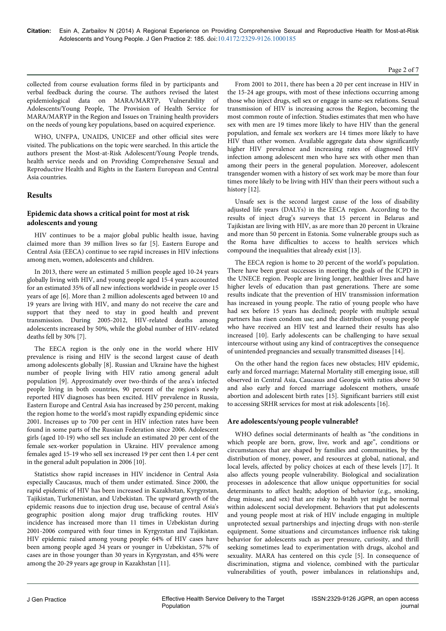#### Page 2 of 7

collected from course evaluation forms filed in by participants and verbal feedback during the course. The authors revised the latest epidemiological data on MARA/MARYP, Vulnerability of Adolescents/Young People, The Provision of Health Service for MARA/MARYP in the Region and Issues on Training health providers on the needs of young key populations, based on acquired experience.

WHO, UNFPA, UNAIDS, UNICEF and other official sites were visited. The publications on the topic were searched. In this article the authors present the Most-at-Risk Adolescent/Young People trends, health service needs and on Providing Comprehensive Sexual and Reproductive Health and Rights in the Eastern European and Central Asia countries.

### **Results**

### **Epidemic data shows a critical point for most at risk adolescents and young**

HIV continues to be a major global public health issue, having claimed more than 39 million lives so far [5]. Eastern Europe and Central Asia (EECA) continue to see rapid increases in HIV infections among men, women, adolescents and children.

In 2013, there were an estimated 5 million people aged 10-24 years globally living with HIV, and young people aged 15-4 years accounted for an estimated 35% of all new infections worldwide in people over 15 years of age [6]. More than 2 million adolescents aged between 10 and 19 years are living with HIV, and many do not receive the care and support that they need to stay in good health and prevent transmission. During 2005-2012, HIV-related deaths among adolescents increased by 50%, while the global number of HIV-related deaths fell by 30% [7].

The EECA region is the only one in the world where HIV prevalence is rising and HIV is the second largest cause of death among adolescents globally [8]. Russian and Ukraine have the highest number of people living with HIV ratio among general adult population [9]. Approximately over two-thirds of the area's infected people living in both countries, 90 percent of the region's newly reported HIV diagnoses has been excited. HIV prevalence in Russia, Eastern Europe and Central Asia has increased by 250 percent, making the region home to the world's most rapidly expanding epidemic since 2001. Increases up to 700 per cent in HIV infection rates have been found in some parts of the Russian Federation since 2006. Adolescent girls (aged 10-19) who sell sex include an estimated 20 per cent of the female sex-worker population in Ukraine. HIV prevalence among females aged 15-19 who sell sex increased 19 per cent then 1.4 per cent in the general adult population in 2006 [10].

Statistics show rapid increases in HIV incidence in Central Asia especially Caucasus, much of them under estimated. Since 2000, the rapid epidemic of HIV has been increased in Kazakhstan, Kyrgyzstan, Tajikistan, Turkmenistan, and Uzbekistan. The upward growth of the epidemic reasons due to injection drug use, because of central Asia's geographic position along major drug trafficking routes. HIV incidence has increased more than 11 times in Uzbekistan during 2001-2006 compared with four times in Kyrgyzstan and Tajikistan. HIV epidemic raised among young people: 64% of HIV cases have been among people aged 34 years or younger in Uzbekistan, 57% of cases are in those younger than 30 years in Kyrgyzstan, and 45% were among the 20-29 years age group in Kazakhstan [11].

From 2001 to 2011, there has been a 20 per cent increase in HIV in the 15-24 age groups, with most of these infections occurring among those who inject drugs, sell sex or engage in same-sex relations. Sexual transmission of HIV is increasing across the Region, becoming the most common route of infection. Studies estimates that men who have sex with men are 19 times more likely to have HIV than the general population, and female sex workers are 14 times more likely to have HIV than other women. Available aggregate data show significantly higher HIV prevalence and increasing rates of diagnosed HIV infection among adolescent men who have sex with other men than among their peers in the general population. Moreover, adolescent transgender women with a history of sex work may be more than four times more likely to be living with HIV than their peers without such a history [12].

Unsafe sex is the second largest cause of the loss of disability adjusted life years (DALYs) in the EECA region. According to the results of inject drug's surveys that 15 percent in Belarus and Tajikistan are living with HIV, as are more than 20 percent in Ukraine and more than 50 percent in Estonia. Some vulnerable groups such as the Roma have difficulties to access to health services which compound the inequalities that already exist [13].

The EECA region is home to 20 percent of the world's population. There have been great successes in meeting the goals of the ICPD in the UNECE region. People are living longer, healthier lives and have higher levels of education than past generations. There are some results indicate that the prevention of HIV transmission information has increased in young people. The ratio of young people who have had sex before 15 years has declined; people with multiple sexual partners has risen condom use; and the distribution of young people who have received an HIV test and learned their results has also increased [10]. Early adolescents can be challenging to have sexual intercourse without using any kind of contraceptives the consequence of unintended pregnancies and sexually transmitted diseases [14].

On the other hand the region faces new obstacles; HIV epidemic, early and forced marriage; Maternal Mortality still emerging issue, still observed in Central Asia, Caucasus and Georgia with ratios above 50 and also early and forced marriage adolescent mothers, unsafe abortion and adolescent birth rates [15]. Significant barriers still exist to accessing SRHR services for most at risk adolescents [16].

## **Are adolescents/young people vulnerable?**

WHO defines social determinants of health as "the conditions in which people are born, grow, live, work and age", conditions or circumstances that are shaped by families and communities, by the distribution of money, power, and resources at global, national, and local levels, affected by policy choices at each of these levels [17]. It also affects young people vulnerability. Biological and socialization processes in adolescence that allow unique opportunities for social determinants to affect health; adoption of behavior (e.g., smoking, drug misuse, and sex) that are risky to health yet might be normal within adolescent social development. Behaviors that put adolescents and young people most at risk of HIV include engaging in multiple unprotected sexual partnerships and injecting drugs with non-sterile equipment. Some situations and circumstances influence risk taking behavior for adolescents such as peer pressure, curiosity, and thrill seeking sometimes lead to experimentation with drugs, alcohol and sexuality. MARA has centered on this cycle [5]. In consequence of discrimination, stigma and violence, combined with the particular vulnerabilities of youth, power imbalances in relationships and,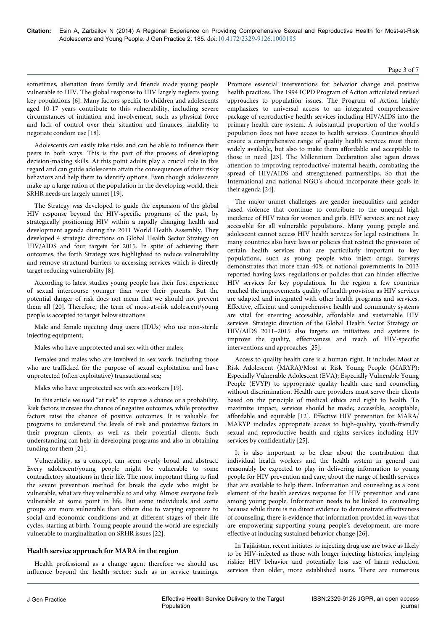#### Page 3 of 7

sometimes, alienation from family and friends made young people vulnerable to HIV. The global response to HIV largely neglects young key populations [6]. Many factors specific to children and adolescents aged 10-17 years contribute to this vulnerability, including severe circumstances of initiation and involvement, such as physical force and lack of control over their situation and finances, inability to negotiate condom use [18].

Adolescents can easily take risks and can be able to influence their peers in both ways. This is the part of the process of developing decision-making skills. At this point adults play a crucial role in this regard and can guide adolescents attain the consequences of their risky behaviors and help them to identify options. Even though adolescents make up a large ration of the population in the developing world, their SRHR needs are largely unmet [19].

The Strategy was developed to guide the expansion of the global HIV response beyond the HIV-specific programs of the past, by strategically positioning HIV within a rapidly changing health and development agenda during the 2011 World Health Assembly. They developed 4 strategic directions on Global Health Sector Strategy on HIV/AIDS and four targets for 2015. In spite of achieving their outcomes, the forth Strategy was highlighted to reduce vulnerability and remove structural barriers to accessing services which is directly target reducing vulnerability [8].

According to latest studies young people has their first experience of sexual intercourse younger than were their parents. But the potential danger of risk does not mean that we should not prevent them all [20]. Therefore, the term of most-at-risk adolescent/young people is accepted to target below situations

Male and female injecting drug users (IDUs) who use non-sterile injecting equipment;

Males who have unprotected anal sex with other males;

Females and males who are involved in sex work, including those who are trafficked for the purpose of sexual exploitation and have unprotected (often exploitative) transactional sex;

Males who have unprotected sex with sex workers [19].

In this article we used "at risk" to express a chance or a probability. Risk factors increase the chance of negative outcomes, while protective factors raise the chance of positive outcomes. It is valuable for programs to understand the levels of risk and protective factors in their program clients, as well as their potential clients. Such understanding can help in developing programs and also in obtaining funding for them [21].

Vulnerability, as a concept, can seem overly broad and abstract. Every adolescent/young people might be vulnerable to some contradictory situations in their life. The most important thing to find the severe prevention method for break the cycle who might be vulnerable, what are they vulnerable to and why. Almost everyone feels vulnerable at some point in life. But some individuals and some groups are more vulnerable than others due to varying exposure to social and economic conditions and at different stages of their life cycles, starting at birth. Young people around the world are especially vulnerable to marginalization on SRHR issues [22].

### **Health service approach for MARA in the region**

Health professional as a change agent therefore we should use influence beyond the health sector; such as in service trainings.

Promote essential interventions for behavior change and positive health practices. The 1994 ICPD Program of Action articulated revised approaches to population issues. The Program of Action highly emphasizes to universal access to an integrated comprehensive package of reproductive health services including HIV/AIDS into the primary health care system. A substantial proportion of the world's population does not have access to health services. Countries should ensure a comprehensive range of quality health services must them widely available, but also to make them affordable and acceptable to those in need [23]. The Millennium Declaration also again draws attention to improving reproductive/ maternal health, combating the spread of HIV/AIDS and strengthened partnerships. So that the International and national NGO's should incorporate these goals in their agenda [24].

The major unmet challenges are gender inequalities and gender based violence that continue to contribute to the unequal high incidence of HIV rates for women and girls. HIV services are not easy accessible for all vulnerable populations. Many young people and adolescent cannot access HIV health services for legal restrictions. In many countries also have laws or policies that restrict the provision of certain health services that are particularly important to key populations, such as young people who inject drugs. Surveys demonstrates that more than 40% of national governments in 2013 reported having laws, regulations or policies that can hinder effective HIV services for key populations. In the region a few countries reached the improvements quality of health provision as HIV services are adapted and integrated with other health programs and services. Effective, efficient and comprehensive health and community systems are vital for ensuring accessible, affordable and sustainable HIV services. Strategic direction of the Global Health Sector Strategy on HIV/AIDS 2011–2015 also targets on initiatives and systems to improve the quality, effectiveness and reach of HIV-specific interventions and approaches [25].

Access to quality health care is a human right. It includes Most at Risk Adolescent (MARA)/Most at Risk Young People (MARYP); Especially Vulnerable Adolescent (EVA); Especially Vulnerable Young People (EVYP) to appropriate quality health care and counseling without discrimination. Health care providers must serve their clients based on the principle of medical ethics and right to health. To maximize impact, services should be made; accessible, acceptable, affordable and equitable [12]. Effective HIV prevention for MARA/ MARYP includes appropriate access to high-quality, youth-friendly sexual and reproductive health and rights services including HIV services by confidentially [25].

It is also important to be clear about the contribution that individual health workers and the health system in general can reasonably be expected to play in delivering information to young people for HIV prevention and care, about the range of health services that are available to help them. Information and counseling as a core element of the health services response for HIV prevention and care among young people. Information needs to be linked to counseling because while there is no direct evidence to demonstrate effectiveness of counseling, there is evidence that information provided in ways that are empowering supporting young people's development, are more effective at inducing sustained behavior change [26].

In Tajikistan, recent initiates to injecting drug use are twice as likely to be HIV-infected as those with longer injecting histories, implying riskier HIV behavior and potentially less use of harm reduction services than older, more established users. There are numerous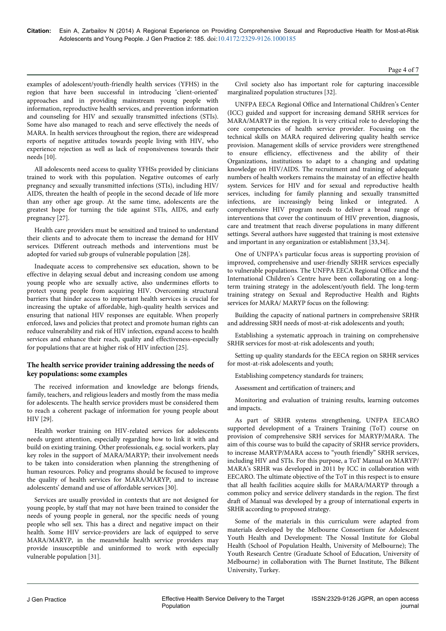Page 4 of 7

examples of adolescent/youth-friendly health services (YFHS) in the region that have been successful in introducing 'client-oriented' approaches and in providing mainstream young people with information, reproductive health services, and prevention information and counseling for HIV and sexually transmitted infections (STIs). Some have also managed to reach and serve effectively the needs of MARA. In health services throughout the region, there are widespread reports of negative attitudes towards people living with HIV, who experience rejection as well as lack of responsiveness towards their needs [10].

All adolescents need access to quality YFHSs provided by clinicians trained to work with this population. Negative outcomes of early pregnancy and sexually transmitted infections (STIs), including HIV/ AIDS, threaten the health of people in the second decade of life more than any other age group. At the same time, adolescents are the greatest hope for turning the tide against STIs, AIDS, and early pregnancy [27].

Health care providers must be sensitized and trained to understand their clients and to advocate them to increase the demand for HIV services. Different outreach methods and interventions must be adopted for varied sub groups of vulnerable population [28].

Inadequate access to comprehensive sex education, shown to be effective in delaying sexual debut and increasing condom use among young people who are sexually active, also undermines efforts to protect young people from acquiring HIV. Overcoming structural barriers that hinder access to important health services is crucial for increasing the uptake of affordable, high-quality health services and ensuring that national HIV responses are equitable. When properly enforced, laws and policies that protect and promote human rights can reduce vulnerability and risk of HIV infection, expand access to health services and enhance their reach, quality and effectiveness-especially for populations that are at higher risk of HIV infection [25].

## **The health service provider training addressing the needs of key populations: some examples**

The received information and knowledge are belongs friends, family, teachers, and religious leaders and mostly from the mass media for adolescents. The health service providers must be considered them to reach a coherent package of information for young people about HIV [29].

Health worker training on HIV-related services for adolescents needs urgent attention, especially regarding how to link it with and build on existing training. Other professionals, e.g. social workers, play key roles in the support of MARA/MARYP; their involvement needs to be taken into consideration when planning the strengthening of human resources. Policy and programs should be focused to improve the quality of health services for MARA/MARYP, and to increase adolescents' demand and use of affordable services [30].

Services are usually provided in contexts that are not designed for young people, by staff that may not have been trained to consider the needs of young people in general, nor the specific needs of young people who sell sex. This has a direct and negative impact on their health. Some HIV service-providers are lack of equipped to serve MARA/MARYP, in the meanwhile health service providers may provide insusceptible and uninformed to work with especially vulnerable population [31].

Civil society also has important role for capturing inaccessible marginalized population structures [32].

UNFPA EECA Regional Office and International Children's Center (ICC) guided and support for increasing demand SRHR services for MARA/MARYP in the region. It is very critical role to developing the core competencies of health service provider. Focusing on the technical skills on MARA required delivering quality health service provision. Management skills of service providers were strengthened to ensure efficiency, effectiveness and the ability of their Organizations, institutions to adapt to a changing and updating knowledge on HIV/AIDS. The recruitment and training of adequate numbers of health workers remains the mainstay of an effective health system. Services for HIV and for sexual and reproductive health services, including for family planning and sexually transmitted infections, are increasingly being linked or integrated. A comprehensive HIV program needs to deliver a broad range of interventions that cover the continuum of HIV prevention, diagnosis, care and treatment that reach diverse populations in many different settings. Several authors have suggested that training is most extensive and important in any organization or establishment [33,34].

One of UNFPA's particular focus areas is supporting provision of improved, comprehensive and user-friendly SRHR services especially to vulnerable populations. The UNFPA EECA Regional Office and the International Children's Centre have been collaborating on a longterm training strategy in the adolescent/youth field. The long-term training strategy on Sexual and Reproductive Health and Rights services for MARA/ MARYP focus on the following:

Building the capacity of national partners in comprehensive SRHR and addressing SRH needs of most-at-risk adolescents and youth;

Establishing a systematic approach in training on comprehensive SRHR services for most-at-risk adolescents and youth;

Setting up quality standards for the EECA region on SRHR services for most-at-risk adolescents and youth;

Establishing competency standards for trainers;

Assessment and certification of trainers; and

Monitoring and evaluation of training results, learning outcomes and impacts.

As part of SRHR systems strengthening, UNFPA EECARO supported development of a Trainers Training (ToT) course on provision of comprehensive SRH services for MARYP/MARA. The aim of this course was to build the capacity of SRHR service providers, to increase MARYP/MARA access to "youth friendly" SRHR services, including HIV and STIs. For this purpose, a ToT Manual on MARYP/ MARA's SRHR was developed in 2011 by ICC in collaboration with EECARO. The ultimate objective of the ToT in this respect is to ensure that all health facilities acquire skills for MARA/MARYP through a common policy and service delivery standards in the region. The first draft of Manual was developed by a group of international experts in SRHR according to proposed strategy.

Some of the materials in this curriculum were adapted from materials developed by the Melbourne Consortium for Adolescent Youth Health and Development: The Nossal Institute for Global Health (School of Population Health, University of Melbourne); The Youth Research Centre (Graduate School of Education, University of Melbourne) in collaboration with The Burnet Institute, The Bilkent University, Turkey.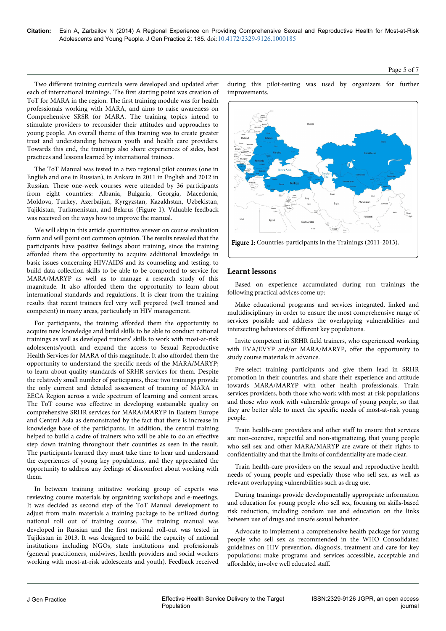during this pilot-testing was used by organizers for further improvements.

Page 5 of 7



Based on experience accumulated during run trainings the following practical advices come up:

Figure 1: Countries-participants in the Trainings (2011-2013).

multidisciplinary in order to ensure the most comprehensive range of services possible and address the overlapping vulnerabilities and intersecting behaviors of different key populations.

Invite competent in SRHR field trainers, who experienced working with EVA/EVYP and/or MARA/MARYP, offer the opportunity to study course materials in advance.

Pre-select training participants and give them lead in SRHR promotion in their countries, and share their experience and attitude towards MARA/MARYP with other health professionals. Train services providers, both those who work with most-at-risk populations and those who work with vulnerable groups of young people, so that they are better able to meet the specific needs of most-at-risk young people.

Train health-care providers and other staff to ensure that services are non-coercive, respectful and non-stigmatizing, that young people who sell sex and other MARA/MARYP are aware of their rights to confidentiality and that the limits of confidentiality are made clear.

Train health-care providers on the sexual and reproductive health needs of young people and especially those who sell sex, as well as relevant overlapping vulnerabilities such as drug use.

During trainings provide developmentally appropriate information and education for young people who sell sex, focusing on skills-based risk reduction, including condom use and education on the links between use of drugs and unsafe sexual behavior.

Advocate to implement a comprehensive health package for young people who sell sex as recommended in the WHO Consolidated guidelines on HIV prevention, diagnosis, treatment and care for key populations: make programs and services accessible, acceptable and affordable, involve well educated staff.

ISSN:2329-9126 JGPR, an open access

journal

Two different training curricula were developed and updated after each of international trainings. The first starting point was creation of ToT for MARA in the region. The first training module was for health professionals working with MARA, and aims to raise awareness on Comprehensive SRSR for MARA. The training topics intend to stimulate providers to reconsider their attitudes and approaches to young people. An overall theme of this training was to create greater trust and understanding between youth and health care providers. Towards this end, the trainings also share experiences of sides, best practices and lessons learned by international trainees.

The ToT Manual was tested in a two regional pilot courses (one in English and one in Russian), in Ankara in 2011 in English and 2012 in Russian. These one-week courses were attended by 36 participants from eight countries: Albania, Bulgaria, Georgia, Macedonia, Moldova, Turkey, Azerbaijan, Kyrgyzstan, Kazakhstan, Uzbekistan, Tajikistan, Turkmenistan, and Belarus (Figure 1). Valuable feedback was received on the ways how to improve the manual.

We will skip in this article quantitative answer on course evaluation form and will point out common opinion. The results revealed that the participants have positive feelings about training, since the training afforded them the opportunity to acquire additional knowledge in basic issues concerning HIV/AIDS and its counseling and testing, to build data collection skills to be able to be comported to service for MARA/MARYP as well as to manage a research study of this magnitude. It also afforded them the opportunity to learn about international standards and regulations. It is clear from the training results that recent trainees feel very well prepared (well trained and competent) in many areas, particularly in HIV management.

For participants, the training afforded them the opportunity to acquire new knowledge and build skills to be able to conduct national trainings as well as developed trainers' skills to work with most-at-risk adolescents/youth and expand the access to Sexual Reproductive Health Services for MARA of this magnitude. It also afforded them the opportunity to understand the specific needs of the MARA/MARYP; to learn about quality standards of SRHR services for them. Despite the relatively small number of participants, these two trainings provide the only current and detailed assessment of training of MARA in EECA Region across a wide spectrum of learning and content areas. The ToT course was effective in developing sustainable quality on comprehensive SRHR services for MARA/MARYP in Eastern Europe and Central Asia as demonstrated by the fact that there is increase in knowledge base of the participants. In addition, the central training helped to build a cadre of trainers who will be able to do an effective step down training throughout their countries as seen in the result. The participants learned they must take time to hear and understand the experiences of young key populations, and they appreciated the opportunity to address any feelings of discomfort about working with them.

In between training initiative working group of experts was reviewing course materials by organizing workshops and e-meetings. It was decided as second step of the ToT Manual development to adjust from main materials a training package to be utilized during national roll out of training course. The training manual was developed in Russian and the first national roll-out was tested in Tajikistan in 2013. It was designed to build the capacity of national institutions including NGOs, state institutions and professionals (general practitioners, midwives, health providers and social workers working with most-at-risk adolescents and youth). Feedback received

Population

Make educational programs and services integrated, linked and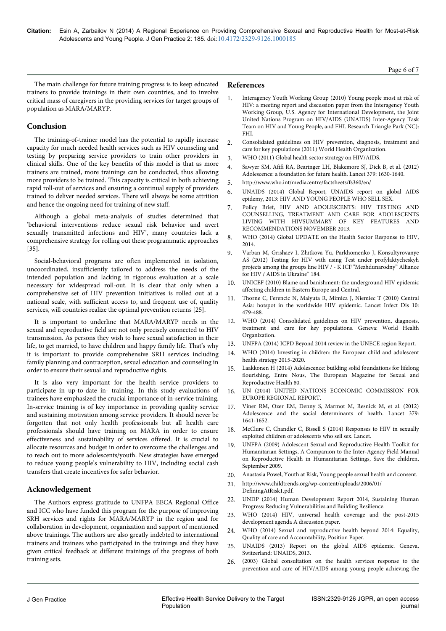The main challenge for future training progress is to keep educated trainers to provide trainings in their own countries, and to involve critical mass of caregivers in the providing services for target groups of population as MARA/MARYP.

## **Conclusion**

The training-of-trainer model has the potential to rapidly increase capacity for much needed health services such as HIV counseling and testing by preparing service providers to train other providers in clinical skills. One of the key benefits of this model is that as more trainers are trained, more trainings can be conducted, thus allowing more providers to be trained. This capacity is critical in both achieving rapid roll-out of services and ensuring a continual supply of providers trained to deliver needed services. There will always be some attrition and hence the ongoing need for training of new staff.

Although a global meta-analysis of studies determined that 'behavioral interventions reduce sexual risk behavior and avert sexually transmitted infections and HIV', many countries lack a comprehensive strategy for rolling out these programmatic approaches [35].

Social-behavioral programs are often implemented in isolation, uncoordinated, insufficiently tailored to address the needs of the intended population and lacking in rigorous evaluation at a scale necessary for widespread roll-out. It is clear that only when a comprehensive set of HIV prevention initiatives is rolled out at a national scale, with sufficient access to, and frequent use of, quality services, will countries realize the optimal prevention returns [25].

It is important to underline that MARA/MARYP needs in the sexual and reproductive field are not only precisely connected to HIV transmission. As persons they wish to have sexual satisfaction in their life, to get married, to have children and happy family life. That's why it is important to provide comprehensive SRH services including family planning and contraception, sexual education and counseling in order to ensure their sexual and reproductive rights.

It is also very important for the health service providers to participate in up-to-date in- training. In this study evaluations of trainees have emphasized the crucial importance of in-service training. In-service training is of key importance in providing quality service and sustaining motivation among service providers. It should never be forgotten that not only health professionals but all health care professionals should have training on MARA in order to ensure effectiveness and sustainability of services offered. It is crucial to allocate resources and budget in order to overcome the challenges and to reach out to more adolescents/youth. New strategies have emerged to reduce young people's vulnerability to HIV, including social cash transfers that create incentives for safer behavior.

## **Acknowledgement**

The Authors express gratitude to UNFPA EECA Regional Office and ICC who have funded this program for the purpose of improving SRH services and rights for MARA/MARYP in the region and for collaboration in development, organization and support of mentioned above trainings. The authors are also greatly indebted to international trainers and trainees who participated in the trainings and they have given critical feedback at different trainings of the progress of both training sets.

#### **References**

- 1. Interagency Youth Working Group (2010) Young people most at risk of HIV: a meeting report and discussion paper from the Interagency Youth Working Group, U.S. Agency for International Development, the Joint United Nations Program on HIV/AIDS (UNAIDS) Inter-Agency Task Team on HIV and Young People, and FHI. Research Triangle Park (NC): FHI.
- 2. Consolidated guidelines on HIV prevention, diagnosis, treatment and care for key populations (2011) World Health Organization.
- 3. WHO (2011) Global health sector strategy on HIV/AIDS.
- 4. [Sawyer SM, Afifi RA, Bearinger LH, Blakemore SJ, Dick B, et al. \(2012\)](http://www.ncbi.nlm.nih.gov/pubmed/22538178) [Adolescence: a foundation for future health. Lancet 379: 1630-1640.](http://www.ncbi.nlm.nih.gov/pubmed/22538178)
- 5. http://www.who.int/mediacentre/factsheets/fs360/en/
- 6. UNAIDS (2014) Global Report, UNAIDS report on global AIDS epidemy, 2013: HIV AND YOUNG PEOPLE WHO SELL SEX.
- 7. Policy Brief, HIV AND ADOLESCENTS: HIV TESTING AND COUNSELLING, TREATMENT AND CARE FOR ADOLESCENTS LIVING WITH HIVSUMMARY OF KEY FEATURES AND RECOMMENDATIONS NOVEMBER 2013.
- 8. WHO (2014) Global UPDATE on the Health Sector Response to HIV, 2014.
- 9. Varban M, Grishaev I, Zhitkova Yu, Parkhomenko J, Konsultyrovanye AS (2012) Testing for HIV with using Test under profylaktycheskyh projects among the groups line HIV / - K ICF "Mezhdunarodny" Alliance for HIV / AIDS in Ukraine" 184.
- 10. UNICEF (2010) Blame and banishment: the underground HIV epidemic affecting children in Eastern Europe and Central.
- 11. [Thorne C, Ferencic N, Malyuta R, Mimica J, Niemiec T \(2010\) Central](http://www.ncbi.nlm.nih.gov/pubmed/20610330) [Asia: hotspot in the worldwide HIV epidemic. Lancet Infect Dis 10:](http://www.ncbi.nlm.nih.gov/pubmed/20610330) [479-488.](http://www.ncbi.nlm.nih.gov/pubmed/20610330)
- 12. WHO (2014) Consolidated guidelines on HIV prevention, diagnosis, treatment and care for key populations. Geneva: World Health Organization.
- 13. UNFPA (2014) ICPD Beyond 2014 review in the UNECE region Report.
- WHO (2014) Investing in children: the European child and adolescent health strategy 2015-2020.
- 15. Laakkonen H (2014) Adolescence: building solid foundations for lifelong flourishing, Entre Nous, The European Magazine for Sexual and Reproductive Health 80.
- 16. UN (2014) UNITED NATIONS ECONOMIC COMMISSION FOR EUROPE REGIONAL REPORT.
- 17. [Viner RM, Ozer EM, Denny S, Marmot M, Resnick M, et al. \(2012\)](http://www.ncbi.nlm.nih.gov/pubmed/22538179) [Adolescence and the social determinants of health. Lancet 379:](http://www.ncbi.nlm.nih.gov/pubmed/22538179) [1641-1652.](http://www.ncbi.nlm.nih.gov/pubmed/22538179)
- 18. [McClure C, Chandler C, Bissell S \(2014\) Responses to HIV in sexually](http://www.ncbi.nlm.nih.gov/pubmed/25059951) [exploited children or adolescents who sell sex. Lancet.](http://www.ncbi.nlm.nih.gov/pubmed/25059951)
- 19. UNFPA (2009) Adolescent Sexual and Reproductive Health Toolkit for Humanitarian Settings, A Companion to the Inter-Agency Field Manual on Reproductive Health in Humanitarian Settings, Save the children, September 2009.
- 20. Anastasia Powel, Youth at Risk, Young people sexual health and consent.
- 21. http://www.childtrends.org/wp-content/uploads/2006/01/ DefiningAtRisk1.pdf.
- 22. UNDP (2014) Human Development Report 2014, Sustaining Human Progress: Reducing Vulnerabilities and Building Resilience.
- 23. WHO (2014) HIV, universal health coverage and the post-2015 development agenda A discussion paper.
- 24. WHO (2014) Sexual and reproductive health beyond 2014: Equality, Quality of care and Accountability, Position Paper.
- 25. UNAIDS (2013) Report on the global AIDS epidemic. Geneva, Switzerland: UNAIDS, 2013.
- 26. (2003) Global consultation on the health services response to the prevention and care of HIV/AIDS among young people achieving the